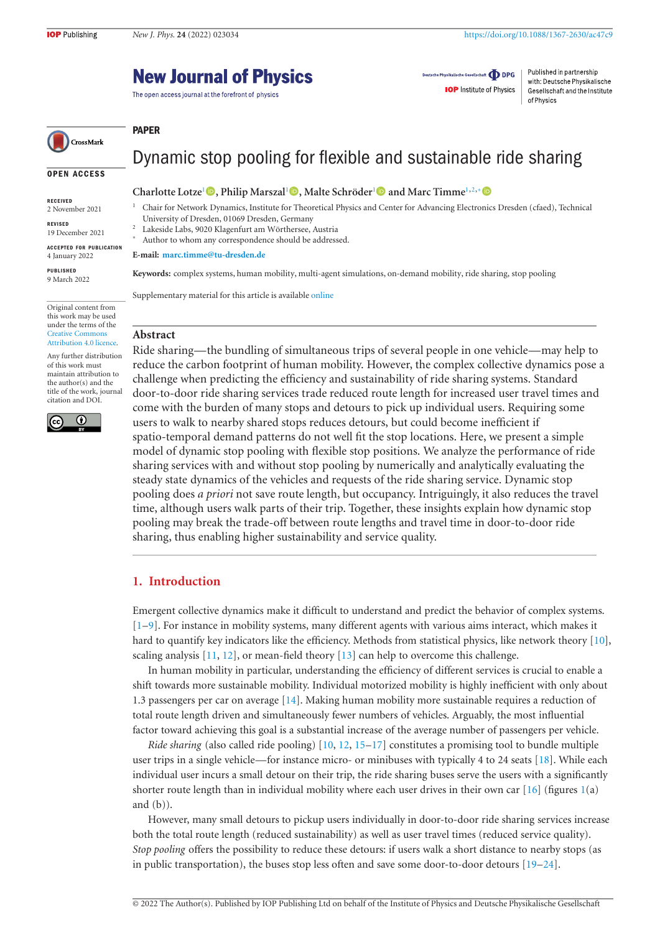## <span id="page-0-1"></span>**New Journal of Physics**

The open access journal at the forefront of physics

Deutsche Physikalische Gesellschaft (DDPG

<span id="page-0-0"></span>**IOP** Institute of Physics

Published in partnership with: Deutsche Physikalische Gesellschaft and the Institute of Physics

# CrossMark

#### **OPEN ACCESS**

**RECEIVED**

2 November 2021 **REVISED**

19 December 2021

**ACCEPTED FOR PUBLICATION** 4 January 2022

**PUBLISHED** 9 March 2022

Original content from this work may be used under the terms of the Creative Commons [Attribution 4.0 licence.](https://creativecommons.org/licenses/by/4.0/)

Any further distribution of this work must maintain attribution to the author(s) and the title of the work, journal citation and DOI.



Dynamic stop pooling for flexible and sustainable ride sharing

#### **Charlotte Lotze**[1](#page-0-0) **[,](https://orcid.org/0000-0002-4275-5511) Philip Marszal**[1](#page-0-0) **[,](https://orcid.org/0000-0003-0040-3347) Malte Schröder**[1](#page-0-0) **and Marc Timme**[1,2,](#page-0-0)[∗](#page-0-1)

- <sup>1</sup> Chair for Network Dynamics, Institute for Theoretical Physics and Center for Advancing Electronics Dresden (cfaed), Technical University of Dresden, 01069 Dresden, Germany
- Lakeside Labs, 9020 Klagenfurt am Wörthersee, Austria
- <sup>∗</sup> Author to whom any correspondence should be addressed.

**E-mail: [marc.timme@tu-dresden.de](mailto:marc.timme@tu-dresden.de)**

**Keywords:** complex systems, human mobility, multi-agent simulations, on-demand mobility, ride sharing, stop pooling

Supplementary material for this article is available online

## **Abstract**

**PAPER**

Ride sharing—the bundling of simultaneous trips of several people in one vehicle—may help to reduce the carbon footprint of human mobility. However, the complex collective dynamics pose a challenge when predicting the efficiency and sustainability of ride sharing systems. Standard door-to-door ride sharing services trade reduced route length for increased user travel times and come with the burden of many stops and detours to pick up individual users. Requiring some users to walk to nearby shared stops reduces detours, but could become inefficient if spatio-temporal demand patterns do not well fit the stop locations. Here, we present a simple model of dynamic stop pooling with flexible stop positions. We analyze the performance of ride sharing services with and without stop pooling by numerically and analytically evaluating the steady state dynamics of the vehicles and requests of the ride sharing service. Dynamic stop pooling does *a priori* not save route length, but occupancy. Intriguingly, it also reduces the travel time, although users walk parts of their trip. Together, these insights explain how dynamic stop pooling may break the trade-off between route lengths and travel time in door-to-door ride sharing, thus enabling higher sustainability and service quality.

## **1. Introduction**

Emergent collective dynamics make it difficult to understand and predict the behavior of complex systems. [\[1](#page-9-0)[–9\]](#page-9-1). For instance in mobility systems, many different agents with various aims interact, which makes it hard to quantify key indicators like the efficiency. Methods from statistical physics, like network theory [\[10\]](#page-9-2), scaling analysis  $[11, 12]$  $[11, 12]$  $[11, 12]$ , or mean-field theory  $[13]$  can help to overcome this challenge.

In human mobility in particular, understanding the efficiency of different services is crucial to enable a shift towards more sustainable mobility. Individual motorized mobility is highly inefficient with only about 1.3 passengers per car on average [\[14\]](#page-9-6). Making human mobility more sustainable requires a reduction of total route length driven and simultaneously fewer numbers of vehicles. Arguably, the most influential factor toward achieving this goal is a substantial increase of the average number of passengers per vehicle.

*Ride sharing* (also called ride pooling) [\[10,](#page-9-2) [12,](#page-9-4) [15](#page-9-7)[–17\]](#page-9-8) constitutes a promising tool to bundle multiple user trips in a single vehicle—for instance micro- or minibuses with typically 4 to 24 seats [\[18\]](#page-9-9). While each individual user incurs a small detour on their trip, the ride sharing buses serve the users with a significantly shorter route length than in individual mobility where each user drives in their own car  $[16]$  (figures [1\(](#page-1-0)a) and  $(b)$ ).

However, many small detours to pickup users individually in door-to-door ride sharing services increase both the total route length (reduced sustainability) as well as user travel times (reduced service quality). *Stop pooling* offers the possibility to reduce these detours: if users walk a short distance to nearby stops (as in public transportation), the buses stop less often and save some door-to-door detours [\[19](#page-9-11)[–24\]](#page-10-0).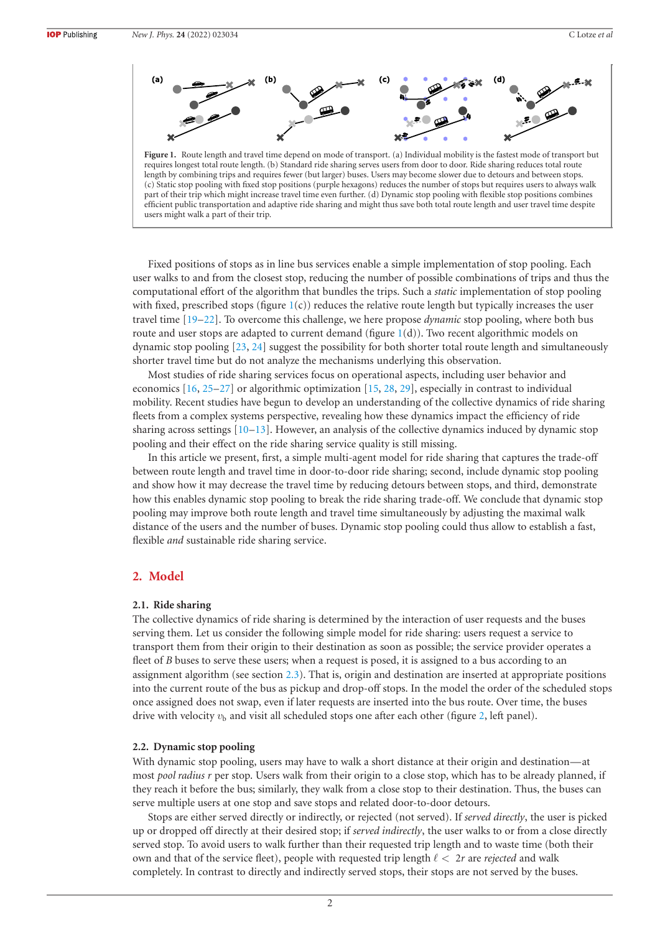

<span id="page-1-0"></span>length by combining trips and requires fewer (but larger) buses. Users may become slower due to detours and between stops. (c) Static stop pooling with fixed stop positions (purple hexagons) reduces the number of stops but requires users to always walk part of their trip which might increase travel time even further. (d) Dynamic stop pooling with flexible stop positions combines efficient public transportation and adaptive ride sharing and might thus save both total route length and user travel time despite users might walk a part of their trip.

Fixed positions of stops as in line bus services enable a simple implementation of stop pooling. Each user walks to and from the closest stop, reducing the number of possible combinations of trips and thus the computational effort of the algorithm that bundles the trips. Such a *static* implementation of stop pooling with fixed, prescribed stops (figure  $1(c)$  $1(c)$ ) reduces the relative route length but typically increases the user travel time [\[19](#page-9-11)[–22\]](#page-9-12). To overcome this challenge, we here propose *dynamic* stop pooling, where both bus route and user stops are adapted to current demand (figure  $1(d)$  $1(d)$ ). Two recent algorithmic models on dynamic stop pooling  $[23, 24]$  $[23, 24]$  $[23, 24]$  suggest the possibility for both shorter total route length and simultaneously shorter travel time but do not analyze the mechanisms underlying this observation.

Most studies of ride sharing services focus on operational aspects, including user behavior and economics  $[16, 25-27]$  $[16, 25-27]$  $[16, 25-27]$  $[16, 25-27]$  or algorithmic optimization  $[15, 28, 29]$  $[15, 28, 29]$  $[15, 28, 29]$  $[15, 28, 29]$  $[15, 28, 29]$ , especially in contrast to individual mobility. Recent studies have begun to develop an understanding of the collective dynamics of ride sharing fleets from a complex systems perspective, revealing how these dynamics impact the efficiency of ride sharing across settings [\[10](#page-9-2)[–13\]](#page-9-5). However, an analysis of the collective dynamics induced by dynamic stop pooling and their effect on the ride sharing service quality is still missing.

In this article we present, first, a simple multi-agent model for ride sharing that captures the trade-off between route length and travel time in door-to-door ride sharing; second, include dynamic stop pooling and show how it may decrease the travel time by reducing detours between stops, and third, demonstrate how this enables dynamic stop pooling to break the ride sharing trade-off. We conclude that dynamic stop pooling may improve both route length and travel time simultaneously by adjusting the maximal walk distance of the users and the number of buses. Dynamic stop pooling could thus allow to establish a fast, flexible *and* sustainable ride sharing service.

#### <span id="page-1-1"></span>**2. Model**

#### **2.1. Ride sharing**

The collective dynamics of ride sharing is determined by the interaction of user requests and the buses serving them. Let us consider the following simple model for ride sharing: users request a service to transport them from their origin to their destination as soon as possible; the service provider operates a fleet of *B* buses to serve these users; when a request is posed, it is assigned to a bus according to an assignment algorithm (see section [2.3\)](#page-2-0). That is, origin and destination are inserted at appropriate positions into the current route of the bus as pickup and drop-off stops. In the model the order of the scheduled stops once assigned does not swap, even if later requests are inserted into the bus route. Over time, the buses drive with velocity  $v<sub>b</sub>$  and visit all scheduled stops one after each other (figure [2,](#page-2-1) left panel).

#### **2.2. Dynamic stop pooling**

With dynamic stop pooling, users may have to walk a short distance at their origin and destination—at most *pool radius r* per stop. Users walk from their origin to a close stop, which has to be already planned, if they reach it before the bus; similarly, they walk from a close stop to their destination. Thus, the buses can serve multiple users at one stop and save stops and related door-to-door detours.

Stops are either served directly or indirectly, or rejected (not served). If *served directly*, the user is picked up or dropped off directly at their desired stop; if *served indirectly*, the user walks to or from a close directly served stop. To avoid users to walk further than their requested trip length and to waste time (both their own and that of the service fleet), people with requested trip length  $\ell < 2r$  are *rejected* and walk completely. In contrast to directly and indirectly served stops, their stops are not served by the buses.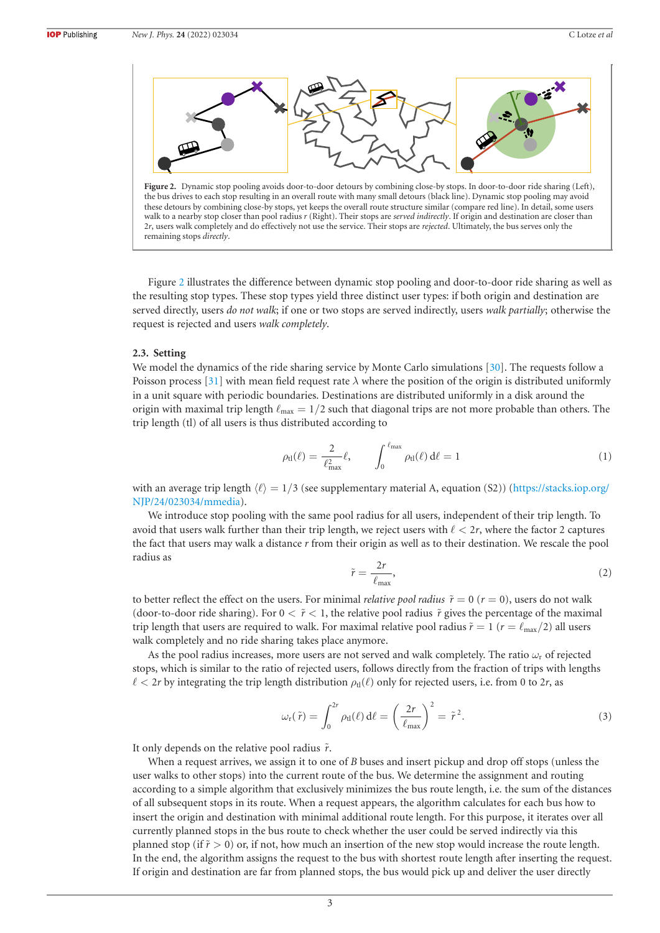

<span id="page-2-1"></span>remaining stops *directly*.

Figure [2](#page-2-1) illustrates the difference between dynamic stop pooling and door-to-door ride sharing as well as the resulting stop types. These stop types yield three distinct user types: if both origin and destination are served directly, users *do not walk*; if one or two stops are served indirectly, users *walk partially*; otherwise the request is rejected and users *walk completely*.

#### <span id="page-2-0"></span>**2.3. Setting**

We model the dynamics of the ride sharing service by Monte Carlo simulations [\[30\]](#page-10-5). The requests follow a Poisson process [\[31\]](#page-10-6) with mean field request rate  $\lambda$  where the position of the origin is distributed uniformly in a unit square with periodic boundaries. Destinations are distributed uniformly in a disk around the origin with maximal trip length  $\ell_{\rm max} = 1/2$  such that diagonal trips are not more probable than others. The trip length (tl) of all users is thus distributed according to

$$
\rho_{\rm tl}(\ell) = \frac{2}{\ell_{\rm max}^2} \ell, \qquad \int_0^{\ell_{\rm max}} \rho_{\rm tl}(\ell) \, d\ell = 1 \tag{1}
$$

with an average trip length  $\langle \ell \rangle = 1/3$  (see supplementary material A, equation (S2)) [\(https://stacks.iop.org/](https://stacks.iop.org/NJP/24/023034/mmedia) [NJP/24/023034/mmedia\)](https://stacks.iop.org/NJP/24/023034/mmedia).

We introduce stop pooling with the same pool radius for all users, independent of their trip length. To avoid that users walk further than their trip length, we reject users with  $\ell < 2r$ , where the factor 2 captures the fact that users may walk a distance *r* from their origin as well as to their destination. We rescale the pool radius as

<span id="page-2-2"></span>
$$
\tilde{r} = \frac{2r}{\ell_{\text{max}}},\tag{2}
$$

to better reflect the effect on the users. For minimal *relative pool radius*  $\tilde{r} = 0$  ( $r = 0$ ), users do not walk (door-to-door ride sharing). For  $0 < \tilde{r} < 1$ , the relative pool radius  $\tilde{r}$  gives the percentage of the maximal trip length that users are required to walk. For maximal relative pool radius  $\tilde{r} = 1$  ( $r = \ell_{\rm max}/2$ ) all users walk completely and no ride sharing takes place anymore.

As the pool radius increases, more users are not served and walk completely. The ratio  $\omega_r$  of rejected stops, which is similar to the ratio of rejected users, follows directly from the fraction of trips with lengths  $\ell < 2r$  by integrating the trip length distribution  $\rho_{\rm tl}(\ell)$  only for rejected users, i.e. from 0 to 2*r*, as

$$
\omega_{\rm r}(\tilde{r}) = \int_0^{2r} \rho_{\rm tl}(\ell) \, d\ell = \left(\frac{2r}{\ell_{\rm max}}\right)^2 = \tilde{r}^2. \tag{3}
$$

It only depends on the relative pool radius ˜*r*.

When a request arrives, we assign it to one of *B* buses and insert pickup and drop off stops (unless the user walks to other stops) into the current route of the bus. We determine the assignment and routing according to a simple algorithm that exclusively minimizes the bus route length, i.e. the sum of the distances of all subsequent stops in its route. When a request appears, the algorithm calculates for each bus how to insert the origin and destination with minimal additional route length. For this purpose, it iterates over all currently planned stops in the bus route to check whether the user could be served indirectly via this planned stop (if ˜*r* > 0) or, if not, how much an insertion of the new stop would increase the route length. In the end, the algorithm assigns the request to the bus with shortest route length after inserting the request. If origin and destination are far from planned stops, the bus would pick up and deliver the user directly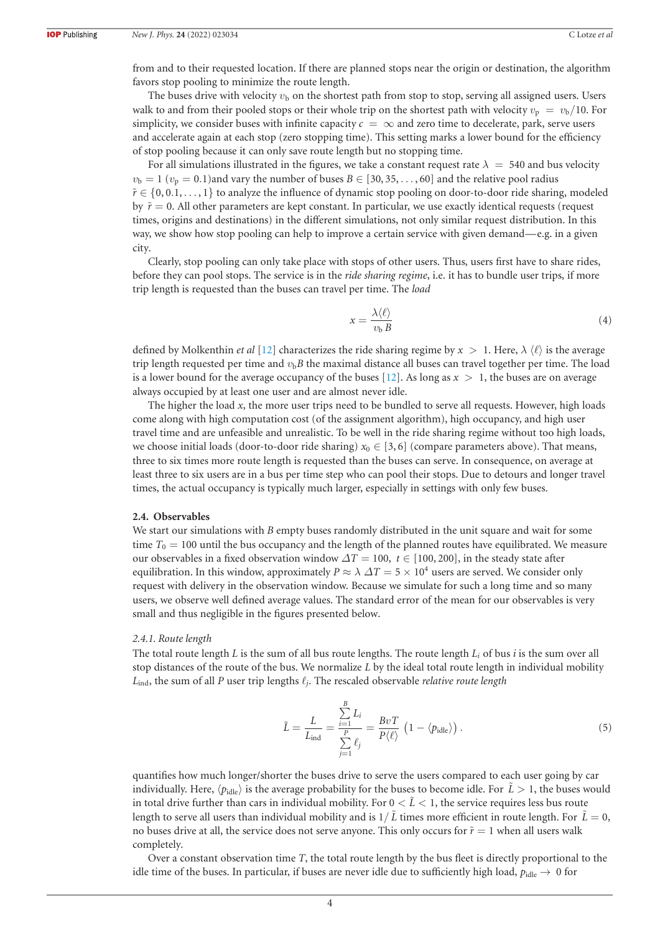from and to their requested location. If there are planned stops near the origin or destination, the algorithm favors stop pooling to minimize the route length.

The buses drive with velocity  $v<sub>b</sub>$  on the shortest path from stop to stop, serving all assigned users. Users walk to and from their pooled stops or their whole trip on the shortest path with velocity  $v_p = v_b/10$ . For simplicity, we consider buses with infinite capacity  $c = \infty$  and zero time to decelerate, park, serve users and accelerate again at each stop (zero stopping time). This setting marks a lower bound for the efficiency of stop pooling because it can only save route length but no stopping time.

For all simulations illustrated in the figures, we take a constant request rate  $\lambda = 540$  and bus velocity  $v<sub>b</sub> = 1$  ( $v<sub>p</sub> = 0.1$ )and vary the number of buses  $B \in [30, 35, \ldots, 60]$  and the relative pool radius  $\tilde{r} \in \{0, 0.1, \ldots, 1\}$  to analyze the influence of dynamic stop pooling on door-to-door ride sharing, modeled by ˜*r* = 0. All other parameters are kept constant. In particular, we use exactly identical requests (request times, origins and destinations) in the different simulations, not only similar request distribution. In this way, we show how stop pooling can help to improve a certain service with given demand—e.g. in a given city.

Clearly, stop pooling can only take place with stops of other users. Thus, users first have to share rides, before they can pool stops. The service is in the *ride sharing regime*, i.e. it has to bundle user trips, if more trip length is requested than the buses can travel per time. The *load*

<span id="page-3-1"></span>
$$
x = \frac{\lambda \langle \ell \rangle}{v_{\rm b} B} \tag{4}
$$

defined by Molkenthin *et al* [\[12\]](#page-9-4) characterizes the ride sharing regime by  $x > 1$ . Here,  $\lambda \langle \ell \rangle$  is the average trip length requested per time and  $v<sub>b</sub>B$  the maximal distance all buses can travel together per time. The load is a lower bound for the average occupancy of the buses  $[12]$ . As long as  $x > 1$ , the buses are on average always occupied by at least one user and are almost never idle.

The higher the load *x*, the more user trips need to be bundled to serve all requests. However, high loads come along with high computation cost (of the assignment algorithm), high occupancy, and high user travel time and are unfeasible and unrealistic. To be well in the ride sharing regime without too high loads, we choose initial loads (door-to-door ride sharing)  $x_0 \in [3, 6]$  (compare parameters above). That means, three to six times more route length is requested than the buses can serve. In consequence, on average at least three to six users are in a bus per time step who can pool their stops. Due to detours and longer travel times, the actual occupancy is typically much larger, especially in settings with only few buses.

#### **2.4. Observables**

We start our simulations with *B* empty buses randomly distributed in the unit square and wait for some time  $T_0 = 100$  until the bus occupancy and the length of the planned routes have equilibrated. We measure our observables in a fixed observation window  $\Delta T = 100$ ,  $t \in [100, 200]$ , in the steady state after equilibration. In this window, approximately  $P \approx \lambda \Delta T = 5 \times 10^4$  users are served. We consider only request with delivery in the observation window. Because we simulate for such a long time and so many users, we observe well defined average values. The standard error of the mean for our observables is very small and thus negligible in the figures presented below.

#### *2.4.1. Route length*

The total route length *L* is the sum of all bus route lengths. The route length *Li* of bus *i* is the sum over all stop distances of the route of the bus. We normalize *L* by the ideal total route length in individual mobility  $L_{\text{ind}}$ , the sum of all *P* user trip lengths  $\ell_j$ . The rescaled observable *relative route length* 

<span id="page-3-0"></span>
$$
\tilde{L} = \frac{L}{L_{\text{ind}}} = \frac{\sum_{i=1}^{B} L_i}{\sum_{j=1}^{P} \ell_j} = \frac{BvT}{P\langle \ell \rangle} \left(1 - \langle p_{\text{idle}} \rangle \right). \tag{5}
$$

quantifies how much longer/shorter the buses drive to serve the users compared to each user going by car individually. Here,  $\langle p_{\text{idle}} \rangle$  is the average probability for the buses to become idle. For  $\tilde{L} > 1$ , the buses would in total drive further than cars in individual mobility. For  $0 < \tilde{L} < 1$ , the service requires less bus route length to serve all users than individual mobility and is  $1/\tilde{L}$  times more efficient in route length. For  $\tilde{L}=0$ , no buses drive at all, the service does not serve anyone. This only occurs for  $\tilde{r} = 1$  when all users walk completely.

Over a constant observation time *T*, the total route length by the bus fleet is directly proportional to the idle time of the buses. In particular, if buses are never idle due to sufficiently high load,  $p_{idle} \rightarrow 0$  for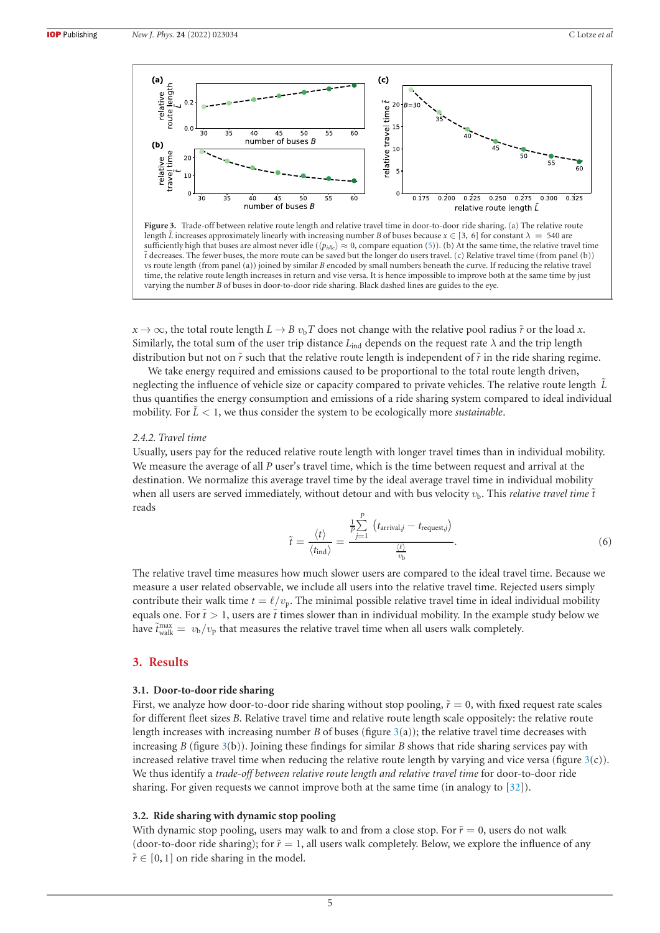

<span id="page-4-0"></span>

 $x \to \infty$ , the total route length  $L \to B v_bT$  does not change with the relative pool radius  $\tilde{r}$  or the load *x*. Similarly, the total sum of the user trip distance *L*ind depends on the request rate λ and the trip length distribution but not on ˜*r* such that the relative route length is independent of ˜*r* in the ride sharing regime.

We take energy required and emissions caused to be proportional to the total route length driven, neglecting the influence of vehicle size or capacity compared to private vehicles. The relative route length  $\tilde{L}$ thus quantifies the energy consumption and emissions of a ride sharing system compared to ideal individual mobility. For  $L < 1$ , we thus consider the system to be ecologically more *sustainable*.

#### *2.4.2. Travel time*

Usually, users pay for the reduced relative route length with longer travel times than in individual mobility. We measure the average of all *P* user's travel time, which is the time between request and arrival at the destination. We normalize this average travel time by the ideal average travel time in individual mobility when all users are served immediately, without detour and with bus velocity  $v<sub>b</sub>$ . This *relative travel time*  $\tilde{t}$ reads

$$
\tilde{t} = \frac{\langle t \rangle}{\langle t_{\text{ind}} \rangle} = \frac{\frac{1}{P} \sum_{j=1}^{P} \left( t_{\text{arrival},j} - t_{\text{request},j} \right)}{\frac{\langle \ell \rangle}{v_{\text{b}}}}.
$$
\n(6)

The relative travel time measures how much slower users are compared to the ideal travel time. Because we measure a user related observable, we include all users into the relative travel time. Rejected users simply contribute their walk time  $t = \ell/v_{\rm p}$ . The minimal possible relative travel time in ideal individual mobility equals one. For  $\tilde{t} > 1$ , users are  $\tilde{t}$  times slower than in individual mobility. In the example study below we have  $\tilde{t}_{\rm walk}^{\rm max} = v_{\rm b}/v_{\rm p}$  that measures the relative travel time when all users walk completely.

### **3. Results**

#### <span id="page-4-1"></span>**3.1. Door-to-door ride sharing**

First, we analyze how door-to-door ride sharing without stop pooling,  $\tilde{r} = 0$ , with fixed request rate scales for different fleet sizes *B*. Relative travel time and relative route length scale oppositely: the relative route length increases with increasing number *B* of buses (figure [3\(](#page-4-0)a)); the relative travel time decreases with increasing *B* (figure [3\(](#page-4-0)b)). Joining these findings for similar *B* shows that ride sharing services pay with increased relative travel time when reducing the relative route length by varying and vice versa (figure  $3(c)$  $3(c)$ ). We thus identify a *trade-off between relative route length and relative travel time* for door-to-door ride sharing. For given requests we cannot improve both at the same time (in analogy to [\[32\]](#page-10-7)).

#### **3.2. Ride sharing with dynamic stop pooling**

<span id="page-4-2"></span>With dynamic stop pooling, users may walk to and from a close stop. For  $\tilde{r} = 0$ , users do not walk (door-to-door ride sharing); for  $\tilde{r} = 1$ , all users walk completely. Below, we explore the influence of any  $\tilde{r} \in [0, 1]$  on ride sharing in the model.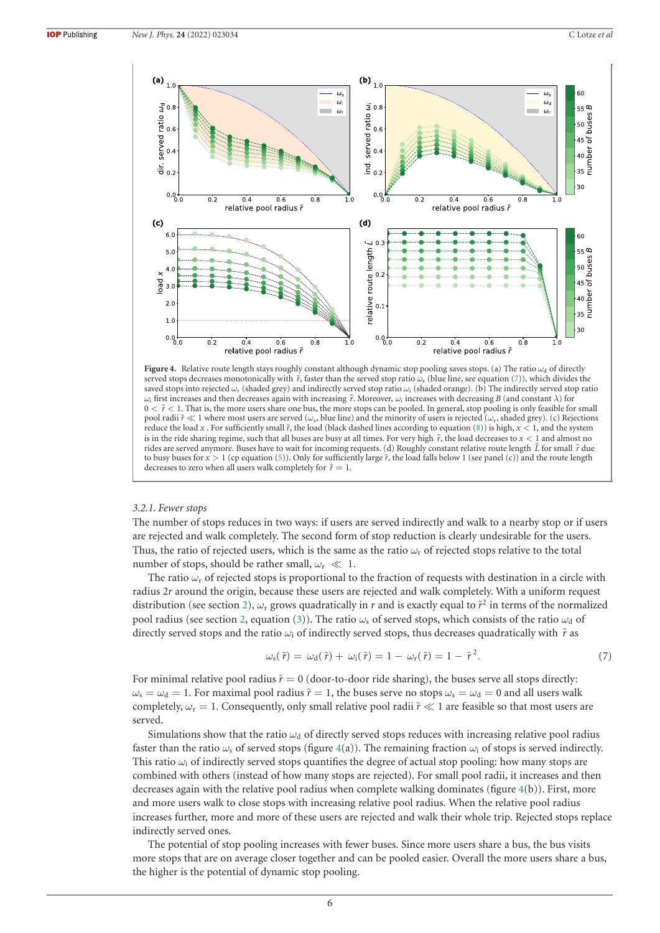

<span id="page-5-1"></span>**Figure 4.** Relative route length stays roughly constant although dynamic stop pooling saves stops. (a) The ratio  $\omega_d$  of directly served stops decreases monotonically with  $\tilde{r}$ , faster than the served stop ratio  $\omega_s$  (blue line, see equation [\(7\)](#page-5-0)), which divides the saved stops into rejected  $\omega_r$  (shaded grey) and indirectly served stop ratio  $\omega_i$  (shaded orange). (b) The indirectly served stop ratio  $\omega_i$  first increases and then decreases again with increasing  $\tilde{r}$ . Moreover,  $\omega_i$  increases with decreasing *B* (and constant  $\lambda$ ) for  $0 < \tilde{r} < 1$ . That is, the more users share one bus, the more stops can be pooled. In general, stop pooling is only feasible for small pool radii  $\tilde{r} \ll 1$  where most users are served ( $\omega_s$ , blue line) and the minority of users is rejected ( $\omega_r$ , shaded grey). (c) Rejections reduce the load *x*. For sufficiently small  $\tilde{r}$ , the load (black dashed lines according to equation [\(8\)](#page-6-0)) is high,  $x < 1$ , and the system is in the ride sharing regime, such that all buses are busy at all times. For very high  $\tilde{r}$ , the load decreases to  $x < 1$  and almost no rides are served anymore. Buses have to wait for incoming requests. (d) Roughly constant relative route length ˜*L* for small ˜*r* due to busy buses for  $x > 1$  (cp equation [\(5\)](#page-3-0)). Only for sufficiently large  $\tilde{r}$ , the load falls below 1 (see panel (c)) and the route length decreases to zero when all users walk completely for  $\tilde{r} = 1$ .

## *3.2.1. Fewer stops*

The number of stops reduces in two ways: if users are served indirectly and walk to a nearby stop or if users are rejected and walk completely. The second form of stop reduction is clearly undesirable for the users. Thus, the ratio of rejected users, which is the same as the ratio  $\omega_r$  of rejected stops relative to the total number of stops, should be rather small,  $\omega_r \ll 1$ .

The ratio  $\omega_r$  of rejected stops is proportional to the fraction of requests with destination in a circle with radius 2*r* around the origin, because these users are rejected and walk completely. With a uniform request distribution (see section [2\)](#page-1-1),  $\omega_r$  grows quadratically in *r* and is exactly equal to  $\tilde{r}^2$  in terms of the normalized pool radius (see section [2,](#page-1-1) equation [\(3\)](#page-2-2)). The ratio  $\omega_s$  of served stops, which consists of the ratio  $\omega_d$  of directly served stops and the ratio  $\omega_i$  of indirectly served stops, thus decreases quadratically with  $\tilde{r}$  as

<span id="page-5-0"></span>
$$
\omega_{\rm s}(\tilde{r}) = \omega_{\rm d}(\tilde{r}) + \omega_{\rm i}(\tilde{r}) = 1 - \omega_{\rm r}(\tilde{r}) = 1 - \tilde{r}^2. \tag{7}
$$

For minimal relative pool radius  $\tilde{r} = 0$  (door-to-door ride sharing), the buses serve all stops directly:  $\omega_s = \omega_d = 1$ . For maximal pool radius  $\tilde{r} = 1$ , the buses serve no stops  $\omega_s = \omega_d = 0$  and all users walk completely,  $\omega_r = 1$ . Consequently, only small relative pool radii  $\tilde{r} \ll 1$  are feasible so that most users are served.

Simulations show that the ratio  $\omega_d$  of directly served stops reduces with increasing relative pool radius faster than the ratio  $\omega_s$  of served stops (figure [4\(](#page-5-1)a)). The remaining fraction  $\omega_i$  of stops is served indirectly. This ratio  $\omega_i$  of indirectly served stops quantifies the degree of actual stop pooling: how many stops are combined with others (instead of how many stops are rejected). For small pool radii, it increases and then decreases again with the relative pool radius when complete walking dominates (figure  $4(b)$  $4(b)$ ). First, more and more users walk to close stops with increasing relative pool radius. When the relative pool radius increases further, more and more of these users are rejected and walk their whole trip. Rejected stops replace indirectly served ones.

<span id="page-5-2"></span>The potential of stop pooling increases with fewer buses. Since more users share a bus, the bus visits more stops that are on average closer together and can be pooled easier. Overall the more users share a bus, the higher is the potential of dynamic stop pooling.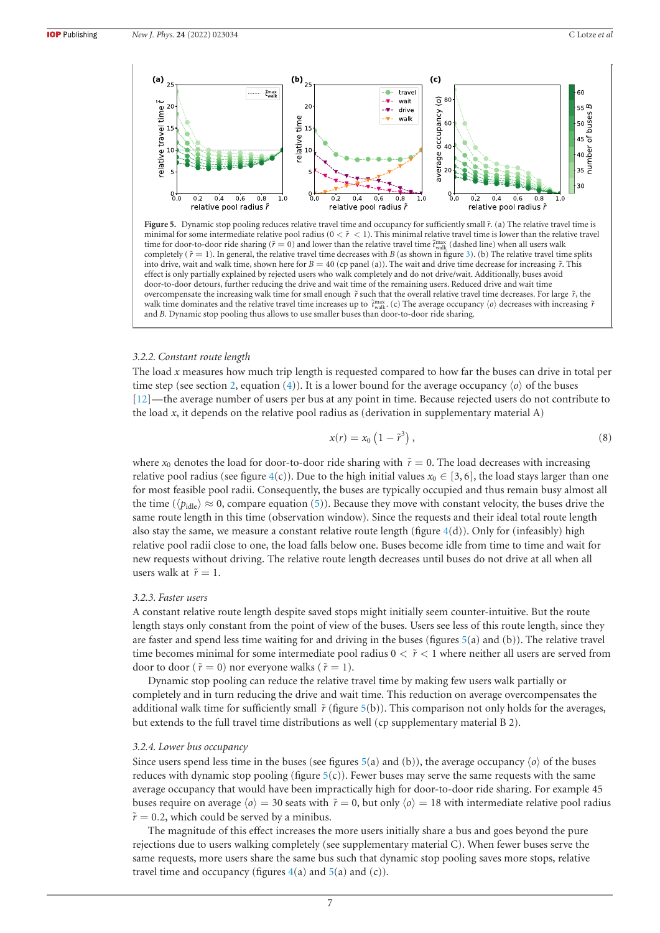

<span id="page-6-1"></span>**Figure 5.** Dynamic stop pooling reduces relative travel time and occupancy for sufficiently small  $\tilde{r}$ . (a) The relative travel time is minimal for some intermediate relative pool radius ( $0 < \tilde{r} < 1$ ). This minimal relative travel time is lower than the relative travel time for door-to-door ride sharing ( $\tilde{r} = 0$ ) and lower than the relative travel time  $\tilde{t}_{\text{walk}}^{\text{max}}$  (dashed line) when all users walk completely ( $\tilde{r} = 1$ ). In general, the relative travel time decreases with *B* (as shown in figure [3\)](#page-4-0). (b) The relative travel time splits into drive, wait and walk time, shown here for  $B = 40$  (cp panel (a)). The wait and drive time decrease for increasing  $\tilde{r}$ . This effect is only partially explained by rejected users who walk completely and do not drive/wait. Additionally, buses avoid door-to-door detours, further reducing the drive and wait time of the remaining users. Reduced drive and wait time overcompensate the increasing walk time for small enough ˜*r* such that the overall relative travel time decreases. For large ˜*r*, the walk time dominates and the relative travel time increases up to  $\tilde{t}_{\text{walk}}^{\text{max}}$ . (c) The average occupancy  $\langle o \rangle$  decreases with increasing  $\tilde{r}$  and *B*. Dynamic stop pooling thus allows to use smaller buses tha

#### *3.2.2. Constant route length*

The load *x* measures how much trip length is requested compared to how far the buses can drive in total per time step (see section [2,](#page-1-1) equation [\(4\)](#page-3-1)). It is a lower bound for the average occupancy  $\langle \rho \rangle$  of the buses [\[12\]](#page-9-4)—the average number of users per bus at any point in time. Because rejected users do not contribute to the load *x*, it depends on the relative pool radius as (derivation in supplementary material A)

<span id="page-6-0"></span>
$$
x(r) = x_0 \left(1 - \tilde{r}^3\right),\tag{8}
$$

where  $x_0$  denotes the load for door-to-door ride sharing with  $\tilde{r} = 0$ . The load decreases with increasing relative pool radius (see figure  $4(c)$  $4(c)$ ). Due to the high initial values  $x_0 \in [3, 6]$ , the load stays larger than one for most feasible pool radii. Consequently, the buses are typically occupied and thus remain busy almost all the time ( $\langle p_{\text{idle}} \rangle \approx 0$ , compare equation [\(5\)](#page-3-0)). Because they move with constant velocity, the buses drive the same route length in this time (observation window). Since the requests and their ideal total route length also stay the same, we measure a constant relative route length (figure  $4(d)$  $4(d)$ ). Only for (infeasibly) high relative pool radii close to one, the load falls below one. Buses become idle from time to time and wait for new requests without driving. The relative route length decreases until buses do not drive at all when all users walk at  $\tilde{r} = 1$ .

#### <span id="page-6-2"></span>*3.2.3. Faster users*

A constant relative route length despite saved stops might initially seem counter-intuitive. But the route length stays only constant from the point of view of the buses. Users see less of this route length, since they are faster and spend less time waiting for and driving in the buses (figures [5\(](#page-6-1)a) and (b)). The relative travel time becomes minimal for some intermediate pool radius  $0 < \tilde{r} < 1$  where neither all users are served from door to door ( $\tilde{r} = 0$ ) nor everyone walks ( $\tilde{r} = 1$ ).

Dynamic stop pooling can reduce the relative travel time by making few users walk partially or completely and in turn reducing the drive and wait time. This reduction on average overcompensates the additional walk time for sufficiently small  $\tilde{r}$  (figure [5\(](#page-6-1)b)). This comparison not only holds for the averages, but extends to the full travel time distributions as well (cp supplementary material B 2).

#### *3.2.4. Lower bus occupancy*

Since users spend less time in the buses (see figures  $5(a)$  $5(a)$  and (b)), the average occupancy  $\langle o \rangle$  of the buses reduces with dynamic stop pooling (figure  $5(c)$  $5(c)$ ). Fewer buses may serve the same requests with the same average occupancy that would have been impractically high for door-to-door ride sharing. For example 45 buses require on average  $\langle \rho \rangle = 30$  seats with  $\tilde{r} = 0$ , but only  $\langle \rho \rangle = 18$  with intermediate relative pool radius  $\tilde{r}$  = 0.2, which could be served by a minibus.

The magnitude of this effect increases the more users initially share a bus and goes beyond the pure rejections due to users walking completely (see supplementary material C). When fewer buses serve the same requests, more users share the same bus such that dynamic stop pooling saves more stops, relative travel time and occupancy (figures  $4(a)$  $4(a)$  and  $5(a)$  $5(a)$  and  $(c)$ ).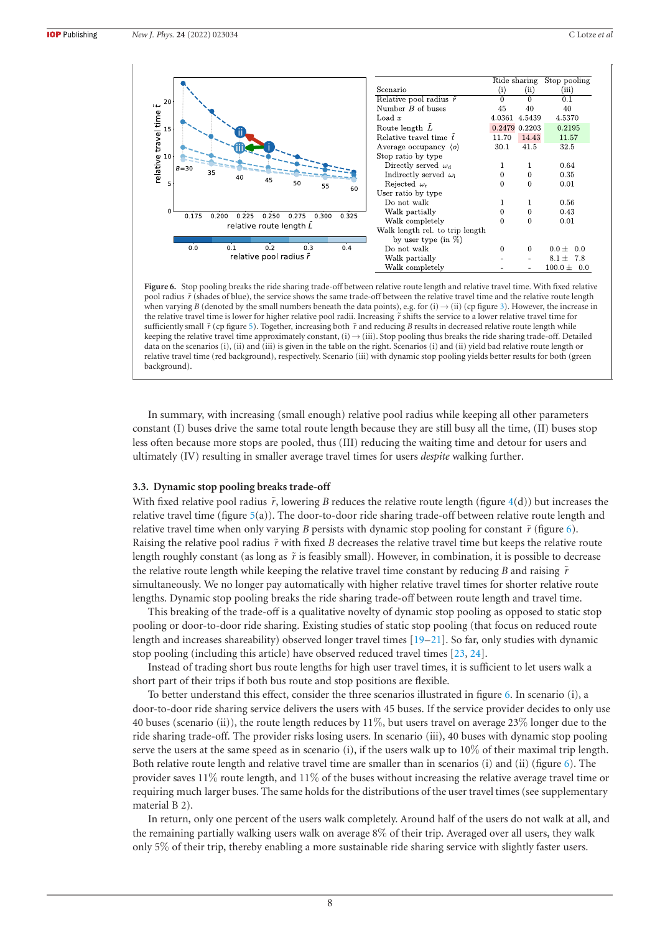

<span id="page-7-0"></span>Figure 6. Stop pooling breaks the ride sharing trade-off between relative route length and relative travel time. With fixed relative pool radius  $\tilde{r}$  (shades of blue), the service shows the same trade-off between the relative travel time and the relative route length when varying *B* (denoted by the small numbers beneath the data points), e.g. for (i)  $\rightarrow$  (ii) (cp figure [3\)](#page-4-0). However, the increase in the relative travel time is lower for higher relative pool radii. Increasing ˜*r* shifts the service to a lower relative travel time for sufficiently small  $\tilde{r}$  (cp figure [5\)](#page-6-1). Together, increasing both  $\tilde{r}$  and reducing *B* results in decreased relative route length while keeping the relative travel time approximately constant, (i)  $\rightarrow$  (iii). Stop pooling thus breaks the ride sharing trade-off. Detailed data on the scenarios (i), (ii) and (iii) is given in the table on the right. Scenarios (i) and (ii) yield bad relative route length or relative travel time (red background), respectively. Scenario (iii) with dynamic stop pooling yields better results for both (green background).

In summary, with increasing (small enough) relative pool radius while keeping all other parameters constant (I) buses drive the same total route length because they are still busy all the time, (II) buses stop less often because more stops are pooled, thus (III) reducing the waiting time and detour for users and ultimately (IV) resulting in smaller average travel times for users *despite* walking further.

#### <span id="page-7-1"></span>**3.3. Dynamic stop pooling breaks trade-off**

With fixed relative pool radius  $\tilde{r}$ , lowering *B* reduces the relative route length (figure  $4(d)$  $4(d)$ ) but increases the relative travel time (figure [5\(](#page-6-1)a)). The door-to-door ride sharing trade-off between relative route length and relative travel time when only varying *B* persists with dynamic stop pooling for constant  $\tilde{r}$  (figure [6\)](#page-7-0). Raising the relative pool radius ˜*r* with fixed *B* decreases the relative travel time but keeps the relative route length roughly constant (as long as ˜*r* is feasibly small). However, in combination, it is possible to decrease the relative route length while keeping the relative travel time constant by reducing *B* and raising ˜*r* simultaneously. We no longer pay automatically with higher relative travel times for shorter relative route lengths. Dynamic stop pooling breaks the ride sharing trade-off between route length and travel time.

This breaking of the trade-off is a qualitative novelty of dynamic stop pooling as opposed to static stop pooling or door-to-door ride sharing. Existing studies of static stop pooling (that focus on reduced route length and increases shareability) observed longer travel times [\[19–](#page-9-11)[21\]](#page-9-14). So far, only studies with dynamic stop pooling (including this article) have observed reduced travel times [\[23,](#page-9-13) [24\]](#page-10-0).

Instead of trading short bus route lengths for high user travel times, it is sufficient to let users walk a short part of their trips if both bus route and stop positions are flexible.

To better understand this effect, consider the three scenarios illustrated in figure [6.](#page-7-0) In scenario (i), a door-to-door ride sharing service delivers the users with 45 buses. If the service provider decides to only use 40 buses (scenario (ii)), the route length reduces by 11%, but users travel on average 23% longer due to the ride sharing trade-off. The provider risks losing users. In scenario (iii), 40 buses with dynamic stop pooling serve the users at the same speed as in scenario (i), if the users walk up to  $10\%$  of their maximal trip length. Both relative route length and relative travel time are smaller than in scenarios (i) and (ii) (figure [6\)](#page-7-0). The provider saves 11% route length, and 11% of the buses without increasing the relative average travel time or requiring much larger buses. The same holds for the distributions of the user travel times (see supplementary material B 2).

In return, only one percent of the users walk completely. Around half of the users do not walk at all, and the remaining partially walking users walk on average 8% of their trip. Averaged over all users, they walk only 5% of their trip, thereby enabling a more sustainable ride sharing service with slightly faster users.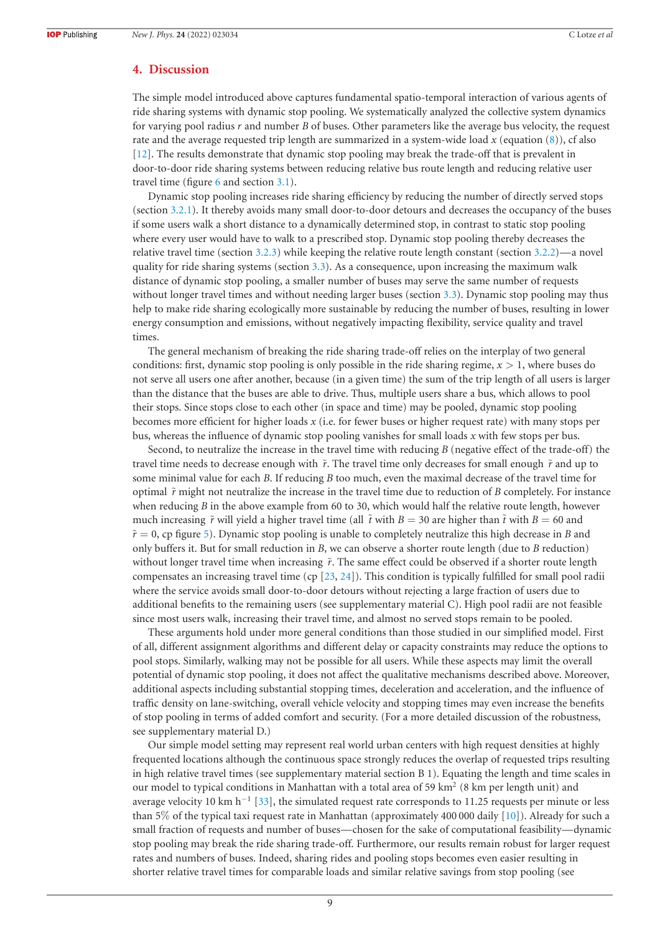## **4. Discussion**

The simple model introduced above captures fundamental spatio-temporal interaction of various agents of ride sharing systems with dynamic stop pooling. We systematically analyzed the collective system dynamics for varying pool radius *r* and number *B* of buses. Other parameters like the average bus velocity, the request rate and the average requested trip length are summarized in a system-wide load *x* (equation [\(8\)](#page-6-0)), cf also [\[12\]](#page-9-4). The results demonstrate that dynamic stop pooling may break the trade-off that is prevalent in door-to-door ride sharing systems between reducing relative bus route length and reducing relative user travel time (figure [6](#page-7-0) and section [3.1\)](#page-4-1).

Dynamic stop pooling increases ride sharing efficiency by reducing the number of directly served stops (section [3.2.1\)](#page-4-2). It thereby avoids many small door-to-door detours and decreases the occupancy of the buses if some users walk a short distance to a dynamically determined stop, in contrast to static stop pooling where every user would have to walk to a prescribed stop. Dynamic stop pooling thereby decreases the relative travel time (section [3.2.3\)](#page-6-2) while keeping the relative route length constant (section [3.2.2\)](#page-5-2)—a novel quality for ride sharing systems (section [3.3\)](#page-7-1). As a consequence, upon increasing the maximum walk distance of dynamic stop pooling, a smaller number of buses may serve the same number of requests without longer travel times and without needing larger buses (section [3.3\)](#page-7-1). Dynamic stop pooling may thus help to make ride sharing ecologically more sustainable by reducing the number of buses, resulting in lower energy consumption and emissions, without negatively impacting flexibility, service quality and travel times.

The general mechanism of breaking the ride sharing trade-off relies on the interplay of two general conditions: first, dynamic stop pooling is only possible in the ride sharing regime,  $x > 1$ , where buses do not serve all users one after another, because (in a given time) the sum of the trip length of all users is larger than the distance that the buses are able to drive. Thus, multiple users share a bus, which allows to pool their stops. Since stops close to each other (in space and time) may be pooled, dynamic stop pooling becomes more efficient for higher loads *x* (i.e. for fewer buses or higher request rate) with many stops per bus, whereas the influence of dynamic stop pooling vanishes for small loads *x* with few stops per bus.

Second, to neutralize the increase in the travel time with reducing *B* (negative effect of the trade-off) the travel time needs to decrease enough with ˜*r*. The travel time only decreases for small enough ˜*r* and up to some minimal value for each *B*. If reducing *B* too much, even the maximal decrease of the travel time for optimal ˜*r* might not neutralize the increase in the travel time due to reduction of *B* completely. For instance when reducing *B* in the above example from 60 to 30, which would half the relative route length, however much increasing  $\tilde{r}$  will yield a higher travel time (all  $\tilde{t}$  with  $B = 30$  are higher than  $\tilde{t}$  with  $B = 60$  and  $\tilde{r}$  = 0, cp figure [5\)](#page-6-1). Dynamic stop pooling is unable to completely neutralize this high decrease in *B* and only buffers it. But for small reduction in *B*, we can observe a shorter route length (due to *B* reduction) without longer travel time when increasing  $\tilde{r}$ . The same effect could be observed if a shorter route length compensates an increasing travel time (cp [\[23,](#page-9-13) [24\]](#page-10-0)). This condition is typically fulfilled for small pool radii where the service avoids small door-to-door detours without rejecting a large fraction of users due to additional benefits to the remaining users (see supplementary material C). High pool radii are not feasible since most users walk, increasing their travel time, and almost no served stops remain to be pooled.

These arguments hold under more general conditions than those studied in our simplified model. First of all, different assignment algorithms and different delay or capacity constraints may reduce the options to pool stops. Similarly, walking may not be possible for all users. While these aspects may limit the overall potential of dynamic stop pooling, it does not affect the qualitative mechanisms described above. Moreover, additional aspects including substantial stopping times, deceleration and acceleration, and the influence of traffic density on lane-switching, overall vehicle velocity and stopping times may even increase the benefits of stop pooling in terms of added comfort and security. (For a more detailed discussion of the robustness, see supplementary material D.)

Our simple model setting may represent real world urban centers with high request densities at highly frequented locations although the continuous space strongly reduces the overlap of requested trips resulting in high relative travel times (see supplementary material section B 1). Equating the length and time scales in our model to typical conditions in Manhattan with a total area of 59 km<sup>2</sup> (8 km per length unit) and average velocity 10 km h<sup>-1</sup> [\[33\]](#page-10-8), the simulated request rate corresponds to 11.25 requests per minute or less than 5% of the typical taxi request rate in Manhattan (approximately 400 000 daily [\[10\]](#page-9-2)). Already for such a small fraction of requests and number of buses—chosen for the sake of computational feasibility—dynamic stop pooling may break the ride sharing trade-off. Furthermore, our results remain robust for larger request rates and numbers of buses. Indeed, sharing rides and pooling stops becomes even easier resulting in shorter relative travel times for comparable loads and similar relative savings from stop pooling (see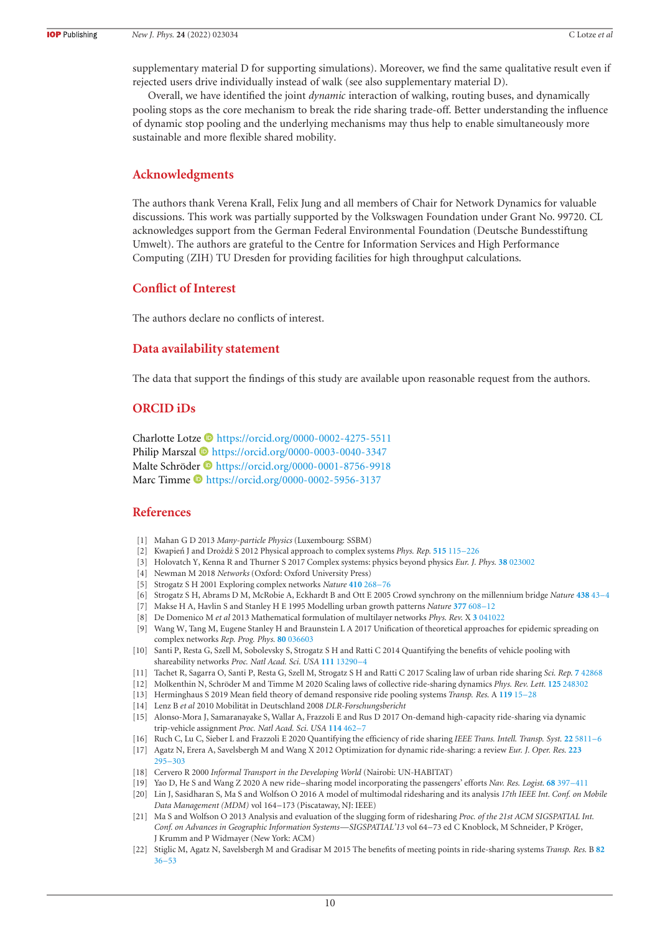supplementary material D for supporting simulations). Moreover, we find the same qualitative result even if rejected users drive individually instead of walk (see also supplementary material D).

Overall, we have identified the joint *dynamic* interaction of walking, routing buses, and dynamically pooling stops as the core mechanism to break the ride sharing trade-off. Better understanding the influence of dynamic stop pooling and the underlying mechanisms may thus help to enable simultaneously more sustainable and more flexible shared mobility.

## **Acknowledgments**

The authors thank Verena Krall, Felix Jung and all members of Chair for Network Dynamics for valuable discussions. This work was partially supported by the Volkswagen Foundation under Grant No. 99720. CL acknowledges support from the German Federal Environmental Foundation (Deutsche Bundesstiftung Umwelt). The authors are grateful to the Centre for Information Services and High Performance Computing (ZIH) TU Dresden for providing facilities for high throughput calculations.

## **Conflict of Interest**

The authors declare no conflicts of interest.

## **Data availability statement**

The data that support the findings of this study are available upon reasonable request from the authors.

## **ORCID iDs**

Charlotte Lotze <https://orcid.org/0000-0002-4275-5511> Philip Marszal D<https://orcid.org/0000-0003-0040-3347> Malte Schröd[er](https://orcid.org/0000-0002-5956-3137) <https://orcid.org/0000-0001-8756-9918> Marc Timme <https://orcid.org/0000-0002-5956-3137>

## **References**

- <span id="page-9-0"></span>[1] Mahan G D 2013 *Many-particle Physics* (Luxembourg: SSBM)
- [2] Kwapień J and Drożdż S 2012 Physical approach to complex systems *Phys. Rep.* [515](https://doi.org/10.1016/j.physrep.2012.01.007) [115–226](https://doi.org/10.1016/j.physrep.2012.01.007)
- [3] Holovatch Y, Kenna R and Thurner S 2017 Complex systems: physics beyond physics *Eur. J. Phys.* **[38](https://doi.org/10.1088/1361-6404/aa5a87)** [023002](https://doi.org/10.1088/1361-6404/aa5a87)
- [4] Newman M 2018 *Networks* (Oxford: Oxford University Press)
- [5] Strogatz S H 2001 Exploring complex networks *Nature* **[410](https://doi.org/10.1038/35065725)** [268–76](https://doi.org/10.1038/35065725)
- [6] Strogatz S H, Abrams D M, McRobie A, Eckhardt B and Ott E 2005 Crowd synchrony on the millennium bridge *Nature* **[438](https://doi.org/10.1038/438043a)** [43–4](https://doi.org/10.1038/438043a)
- [7] Makse H A, Havlin S and Stanley H E 1995 Modelling urban growth patterns *Nature* **[377](https://doi.org/10.1038/377608a0)** [608–12](https://doi.org/10.1038/377608a0)
- [8] De Domenico M *et al* 2013 Mathematical formulation of multilayer networks *Phys. Rev.* X **[3](https://doi.org/10.1103/physrevx.3.041022)** [041022](https://doi.org/10.1103/physrevx.3.041022)
- <span id="page-9-1"></span>[9] Wang W, Tang M, Eugene Stanley H and Braunstein L A 2017 Unification of theoretical approaches for epidemic spreading on complex networks *Rep. Prog. Phys.* **[80](https://doi.org/10.1088/1361-6633/aa5398)** [036603](https://doi.org/10.1088/1361-6633/aa5398)
- <span id="page-9-2"></span>[10] Santi P, Resta G, Szell M, Sobolevsky S, Strogatz S H and Ratti C 2014 Quantifying the benefits of vehicle pooling with shareability networks *Proc. Natl Acad. Sci. USA* **[111](https://doi.org/10.1073/pnas.1403657111)** [13290–4](https://doi.org/10.1073/pnas.1403657111)
- <span id="page-9-3"></span>[11] Tachet R, Sagarra O, Santi P, Resta G, Szell M, Strogatz S H and Ratti C 2017 Scaling law of urban ride sharing *Sci. Rep.* **[7](https://doi.org/10.1038/srep42868)** [42868](https://doi.org/10.1038/srep42868)
- <span id="page-9-4"></span>[12] Molkenthin N, Schröder M and Timme M 2020 Scaling laws of collective ride-sharing dynamics *Phys. Rev. Lett.* **[125](https://doi.org/10.1103/physrevlett.125.248302)** [248302](https://doi.org/10.1103/physrevlett.125.248302)
- <span id="page-9-5"></span>[13] Herminghaus S 2019 Mean field theory of demand responsive ride pooling systems *Transp. Res.* A **[119](https://doi.org/10.1016/j.tra.2018.10.028)** [15–28](https://doi.org/10.1016/j.tra.2018.10.028)
- <span id="page-9-6"></span>[14] Lenz B *et al* 2010 Mobilität in Deutschland 2008 *DLR-Forschungsbericht*
- <span id="page-9-7"></span>[15] Alonso-Mora J, Samaranayake S, Wallar A, Frazzoli E and Rus D 2017 On-demand high-capacity ride-sharing via dynamic trip-vehicle assignment *Proc. Natl Acad. Sci. USA* **[114](https://doi.org/10.1073/pnas.1611675114)** [462–7](https://doi.org/10.1073/pnas.1611675114)
- <span id="page-9-10"></span>[16] Ruch C, Lu C, Sieber L and Frazzoli E 2020 Quantifying the efficiency of ride sharing *IEEE Trans. Intell. Transp. Syst.* **[22](https://doi.org/10.1109/tits.2020.2990202)** [5811–6](https://doi.org/10.1109/tits.2020.2990202)
- <span id="page-9-8"></span>[17] Agatz N, Erera A, Savelsbergh M and Wang X 2012 Optimization for dynamic ride-sharing: a review *Eur. J. Oper. Res.* **[223](https://doi.org/10.1016/j.ejor.2012.05.028)** [295–303](https://doi.org/10.1016/j.ejor.2012.05.028)
- <span id="page-9-9"></span>[18] Cervero R 2000 *Informal Transport in the Developing World* (Nairobi: UN-HABITAT)
- <span id="page-9-11"></span>[19] Yao D, He S and Wang Z 2020 A new ride–sharing model incorporating the passengers' efforts *Nav. Res. Logist.* **[68](https://doi.org/10.1002/nav.21965)** [397–411](https://doi.org/10.1002/nav.21965)
- [20] Lin J, Sasidharan S, Ma S and Wolfson O 2016 A model of multimodal ridesharing and its analysis *17th IEEE Int. Conf. on Mobile Data Management (MDM)* vol 164–173 (Piscataway, NJ: IEEE)
- <span id="page-9-14"></span>[21] Ma S and Wolfson O 2013 Analysis and evaluation of the slugging form of ridesharing *Proc. of the 21st ACM SIGSPATIAL Int. Conf. on Advances in Geographic Information Systems—SIGSPATIAL'13* vol 64–73 ed C Knoblock, M Schneider, P Kröger, J Krumm and P Widmayer (New York: ACM)
- <span id="page-9-13"></span><span id="page-9-12"></span>[22] Stiglic M, Agatz N, Savelsbergh M and Gradisar M 2015 The benefits of meeting points in ride-sharing systems *Transp. Res.* B **[82](https://doi.org/10.1016/j.trb.2015.07.025)** [36–53](https://doi.org/10.1016/j.trb.2015.07.025)